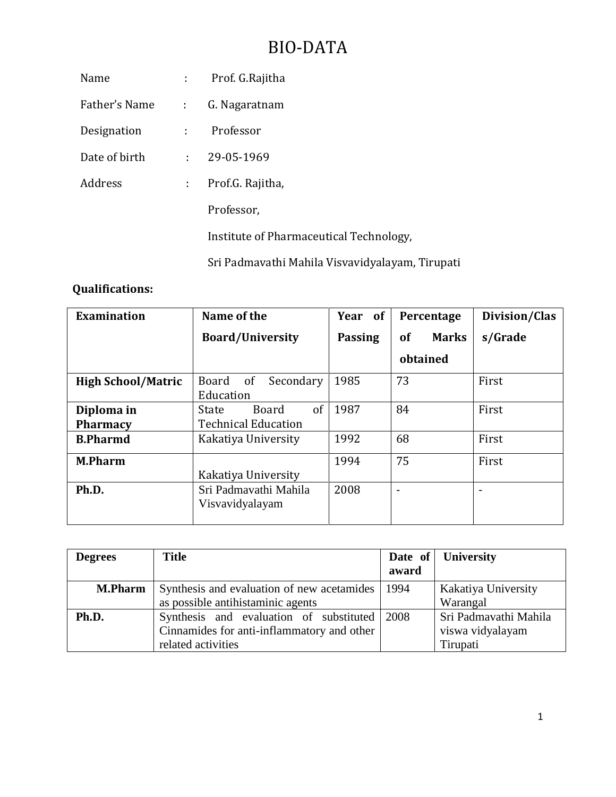# BIO-DATA

|                            | Prof. G.Rajitha                                                  |
|----------------------------|------------------------------------------------------------------|
| $\mathcal{L}^{\text{max}}$ | G. Nagaratnam                                                    |
|                            | Professor                                                        |
|                            | 29-05-1969                                                       |
| $\mathcal{L}^{\text{max}}$ | Prof.G. Rajitha,                                                 |
|                            | Professor,                                                       |
|                            | Institute of Pharmaceutical Technology,                          |
|                            | Sri Padmavathi Mahila Visvavidyalayam, Tirupati                  |
|                            | $\mathcal{L}^{\text{max}}$<br>$\mathcal{L}^{\text{max}}$<br>t in |

# **Qualifications:**

| <b>Examination</b>        | Name of the                         | Year of        | Percentage                | Division/Clas  |
|---------------------------|-------------------------------------|----------------|---------------------------|----------------|
|                           | <b>Board/University</b>             | <b>Passing</b> | <b>Marks</b><br><b>of</b> | s/Grade        |
|                           |                                     |                | obtained                  |                |
| <b>High School/Matric</b> | <sub>of</sub><br>Board<br>Secondary | 1985           | 73                        | First          |
|                           | Education                           |                |                           |                |
| Diploma in                | $\sigma$<br><b>Board</b><br>State   | 1987           | 84                        | First          |
| <b>Pharmacy</b>           | <b>Technical Education</b>          |                |                           |                |
| <b>B.Pharmd</b>           | Kakatiya University                 | 1992           | 68                        | First          |
| <b>M.Pharm</b>            |                                     | 1994           | 75                        | First          |
|                           | Kakatiya University                 |                |                           |                |
| Ph.D.                     | Sri Padmavathi Mahila               | 2008           | ۰                         | $\blacksquare$ |
|                           | Visvavidyalayam                     |                |                           |                |
|                           |                                     |                |                           |                |

| <b>Degrees</b> | Title                                             | award | Date of University    |
|----------------|---------------------------------------------------|-------|-----------------------|
| <b>M.Pharm</b> | Synthesis and evaluation of new acetamides   1994 |       | Kakatiya University   |
|                | as possible antihistaminic agents                 |       | Warangal              |
| Ph.D.          | Synthesis and evaluation of substituted 2008      |       | Sri Padmavathi Mahila |
|                | Cinnamides for anti-inflammatory and other        |       | viswa vidyalayam      |
|                | related activities                                |       | Tirupati              |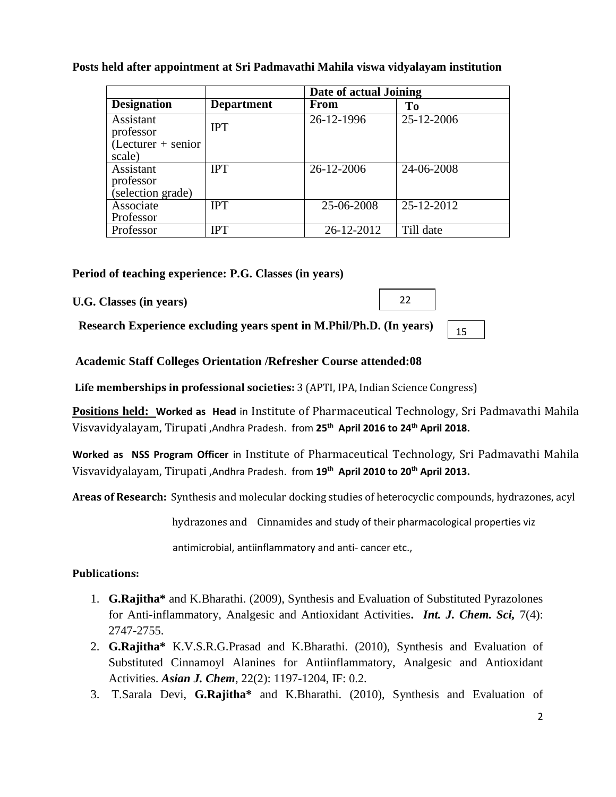|                                 |                   | Date of actual Joining |                |  |
|---------------------------------|-------------------|------------------------|----------------|--|
| <b>Designation</b>              | <b>Department</b> | From                   | T <sub>0</sub> |  |
| Assistant<br>professor          | <b>IPT</b>        | 26-12-1996             | 25-12-2006     |  |
| $(Lecturer + senior)$<br>scale) |                   |                        |                |  |
| Assistant                       | <b>IPT</b>        | 26-12-2006             | 24-06-2008     |  |
| professor                       |                   |                        |                |  |
| selection grade)                |                   |                        |                |  |
| Associate                       | <b>IPT</b>        | 25-06-2008             | 25-12-2012     |  |
| Professor                       |                   |                        |                |  |
| Professor                       | IPT               | 26-12-2012             | Till date      |  |

# **Posts held after appointment at Sri Padmavathi Mahila viswa vidyalayam institution**

**Period of teaching experience: P.G. Classes (in years)**

**U.G. Classes (in years)**

**Research Experience excluding years spent in M.Phil/Ph.D. (In years)**

15

22

**Academic Staff Colleges Orientation /Refresher Course attended:08**

**Life memberships in professional societies:** 3 (APTI, IPA, Indian Science Congress)

**Positions held: Worked as Head** in Institute of Pharmaceutical Technology, Sri Padmavathi Mahila Visvavidyalayam, Tirupati ,Andhra Pradesh. from **25 th April 2016 to 24th April 2018.**

**Worked as NSS Program Officer** in Institute of Pharmaceutical Technology, Sri Padmavathi Mahila Visvavidyalayam, Tirupati ,Andhra Pradesh. from **19th April 2010 to 20th April 2013.**

**Areas of Research:** Synthesis and molecular docking studies of heterocyclic compounds, hydrazones, acyl

hydrazones and Cinnamides and study of their pharmacological properties viz

antimicrobial, antiinflammatory and anti- cancer etc.,

#### **Publications:**

- 1. **G.Rajitha\*** and K.Bharathi. (2009), Synthesis and Evaluation of Substituted Pyrazolones for Anti-inflammatory, Analgesic and Antioxidant Activities**.** *Int. J. Chem. Sci,* 7(4): 2747-2755.
- 2. **G.Rajitha\*** K.V.S.R.G.Prasad and K.Bharathi. (2010), Synthesis and Evaluation of Substituted Cinnamoyl Alanines for Antiinflammatory, Analgesic and Antioxidant Activities. *Asian J. Chem*, 22(2): 1197-1204, IF: 0.2.
- 3. T.Sarala Devi, **G.Rajitha\*** and K.Bharathi. (2010), Synthesis and Evaluation of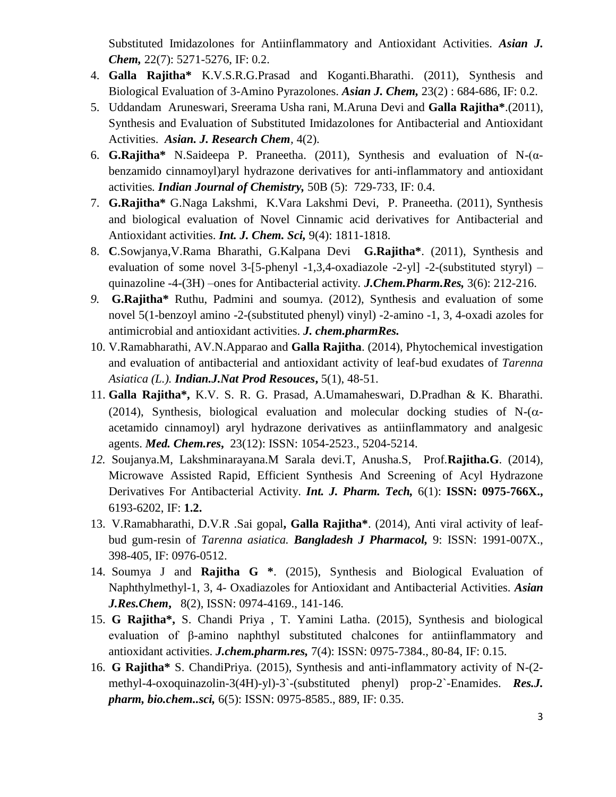Substituted Imidazolones for Antiinflammatory and Antioxidant Activities. *Asian J. Chem,* 22(7): 5271-5276, IF: 0.2.

- 4. **Galla Rajitha\*** K.V.S.R.G.Prasad and Koganti.Bharathi. (2011), Synthesis and Biological Evaluation of 3-Amino Pyrazolones. *Asian J. Chem,* 23(2) : 684-686, IF: 0.2.
- 5. Uddandam Aruneswari, Sreerama Usha rani, M.Aruna Devi and **Galla Rajitha\***.(2011), Synthesis and Evaluation of Substituted Imidazolones for Antibacterial and Antioxidant Activities. *Asian. J. Research Chem,* 4(2).
- 6. **G.Rajitha\*** N.Saideepa P. Praneetha. (2011), Synthesis and evaluation of N-(αbenzamido cinnamoyl)aryl hydrazone derivatives for anti-inflammatory and antioxidant activities*. Indian Journal of Chemistry,* 50B (5): 729-733, IF: 0.4.
- 7. **G.Rajitha\*** G.Naga Lakshmi, K.Vara Lakshmi Devi, P. Praneetha. (2011), Synthesis and biological evaluation of Novel Cinnamic acid derivatives for Antibacterial and Antioxidant activities. *Int. J. Chem. Sci,* 9(4): 1811-1818.
- 8. **C**.Sowjanya,V.Rama Bharathi, G.Kalpana Devi **G.Rajitha\***. (2011), Synthesis and evaluation of some novel  $3-[5-phenyl -1,3,4-oxadiazole -2-yl] -2-(substituted styryl)$  – quinazoline -4-(3H) –ones for Antibacterial activity*. J.Chem.Pharm.Res,* 3(6): 212-216.
- *9.* **G.Rajitha\*** Ruthu, Padmini and soumya. (2012), Synthesis and evaluation of some novel 5(1-benzoyl amino -2-(substituted phenyl) vinyl) -2-amino -1, 3, 4-oxadi azoles for antimicrobial and antioxidant activities. *J. chem.pharmRes.*
- 10. V.Ramabharathi, AV.N.Apparao and **Galla Rajitha**. (2014), Phytochemical investigation and evaluation of antibacterial and antioxidant activity of leaf-bud exudates of *Tarenna Asiatica (L.). Indian.J.Nat Prod Resouces***,** 5(1), 48-51.
- 11. **Galla Rajitha\*,** K.V. S. R. G. Prasad, A.Umamaheswari, D.Pradhan & K. Bharathi. (2014), Synthesis, biological evaluation and molecular docking studies of  $N-(\alpha$ acetamido cinnamoyl) aryl hydrazone derivatives as antiinflammatory and analgesic agents. *Med. Chem.res***,** 23(12): ISSN: 1054-2523., 5204-5214.
- *12.* Soujanya.M, Lakshminarayana.M Sarala devi.T, Anusha.S, Prof.**Rajitha.G**. (2014), Microwave Assisted Rapid, Efficient Synthesis And Screening of Acyl Hydrazone Derivatives For Antibacterial Activity. *Int. J. Pharm. Tech,* 6(1): **ISSN: 0975-766X.,**  6193-6202, IF: **1.2.**
- 13. V.Ramabharathi, D.V.R .Sai gopal**, Galla Rajitha\***. (2014), Anti viral activity of leafbud gum-resin of *Tarenna asiatica. Bangladesh J Pharmacol,* 9: ISSN: 1991-007X., 398-405, IF: 0976-0512.
- 14. Soumya J and **Rajitha G \***. (2015), Synthesis and Biological Evaluation of Naphthylmethyl-1, 3, 4- Oxadiazoles for Antioxidant and Antibacterial Activities. *Asian J.Res.Chem***,** 8(2), ISSN: 0974-4169., 141-146.
- 15. **G Rajitha\*,** S. Chandi Priya , T. Yamini Latha. (2015), Synthesis and biological evaluation of β-amino naphthyl substituted chalcones for antiinflammatory and antioxidant activities. *J.chem.pharm.res,* 7(4): ISSN: 0975-7384., 80-84, IF: 0.15.
- 16. **G Rajitha\*** S. ChandiPriya. (2015), Synthesis and anti-inflammatory activity of N-(2 methyl-4-oxoquinazolin-3(4H)-yl)-3`-(substituted phenyl) prop-2`-Enamides. *Res.J. pharm, bio.chem..sci,* 6(5): ISSN: 0975-8585., 889, IF: 0.35.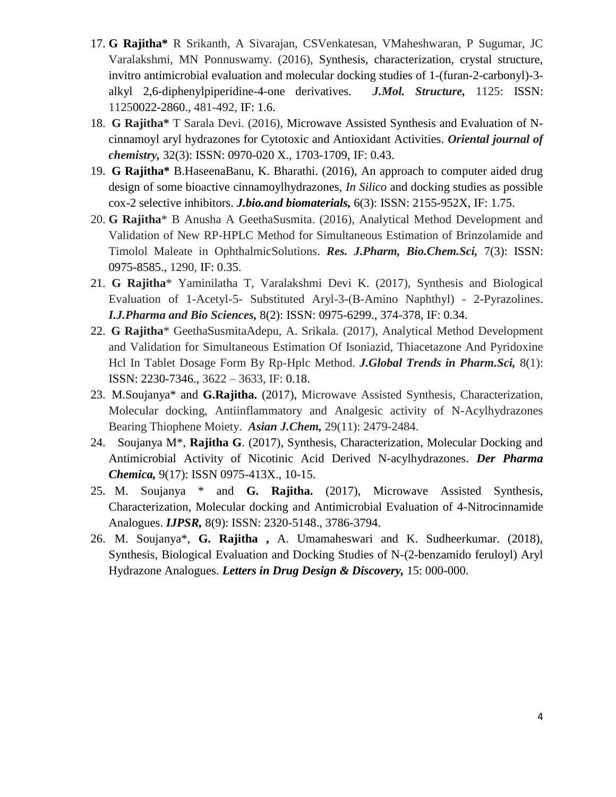- 17. **G Rajitha\*** R Srikanth, A Sivarajan, CSVenkatesan, VMaheshwaran, P Sugumar, JC Varalakshmi, MN Ponnuswamy. (2016), Synthesis, characterization, crystal structure, invitro antimicrobial evaluation and molecular docking studies of 1-(furan-2-carbonyl)-3 alkyl 2,6-diphenylpiperidine-4-one derivatives. *J.Mol. Structure,* 1125: ISSN: 11250022-2860., 481-492, IF: 1.6.
- 18. **G Rajitha\*** T Sarala Devi. (2016), Microwave Assisted Synthesis and Evaluation of Ncinnamoyl aryl hydrazones for Cytotoxic and Antioxidant Activities. *Oriental journal of chemistry,* 32(3): ISSN: 0970-020 X., 1703-1709, IF: 0.43.
- 19. **G Rajitha\*** B.HaseenaBanu, K. Bharathi. (2016), An approach to computer aided drug design of some bioactive cinnamoylhydrazones, *In Silico* and docking studies as possible cox-2 selective inhibitors. *J.bio.and biomaterials,* 6(3): ISSN: 2155-952X, IF: 1.75.
- 20. **G Rajitha**\* B Anusha A GeethaSusmita. (2016), Analytical Method Development and Validation of New RP-HPLC Method for Simultaneous Estimation of Brinzolamide and Timolol Maleate in OphthalmicSolutions. *Res. J.Pharm, Bio.Chem.Sci,* 7(3): ISSN: 0975-8585., 1290, IF: 0.35.
- 21. **G Rajitha**\* Yaminilatha T, Varalakshmi Devi K. (2017), Synthesis and Biological Evaluation of 1-Acetyl-5- Substituted Aryl-3-(Β-Amino Naphthyl) - 2-Pyrazolines. *I.J.Pharma and Bio Sciences,* 8(2): ISSN: 0975-6299., 374-378, IF: 0.34.
- 22. **G Rajitha**\* GeethaSusmitaAdepu, A. Srikala. (2017), Analytical Method Development and Validation for Simultaneous Estimation Of Isoniazid, Thiacetazone And Pyridoxine Hcl In Tablet Dosage Form By Rp-Hplc Method. *J.Global Trends in Pharm.Sci,* 8(1): ISSN: 2230-7346., 3622 – 3633, IF: 0.18.
- 23. M.Soujanya\* and **G.Rajitha.** (2017), Microwave Assisted Synthesis, Characterization, Molecular docking, Antiinflammatory and Analgesic activity of N-Acylhydrazones Bearing Thiophene Moiety. *Asian J.Chem,* 29(11): 2479-2484.
- 24. Soujanya M\*, **Rajitha G**. (2017), Synthesis, Characterization, Molecular Docking and Antimicrobial Activity of Nicotinic Acid Derived N-acylhydrazones. *Der Pharma Chemica,* 9(17): ISSN 0975-413X., 10-15.
- 25. M. Soujanya \* and **G. Rajitha.** (2017), Microwave Assisted Synthesis, Characterization, Molecular docking and Antimicrobial Evaluation of 4-Nitrocinnamide Analogues. *IJPSR,* 8(9): ISSN: 2320-5148., 3786-3794.
- 26. M. Soujanya\*, **G. Rajitha ,** A. Umamaheswari and K. Sudheerkumar. (2018), Synthesis, Biological Evaluation and Docking Studies of N-(2-benzamido feruloyl) Aryl Hydrazone Analogues. *Letters in Drug Design & Discovery,* 15: 000-000.